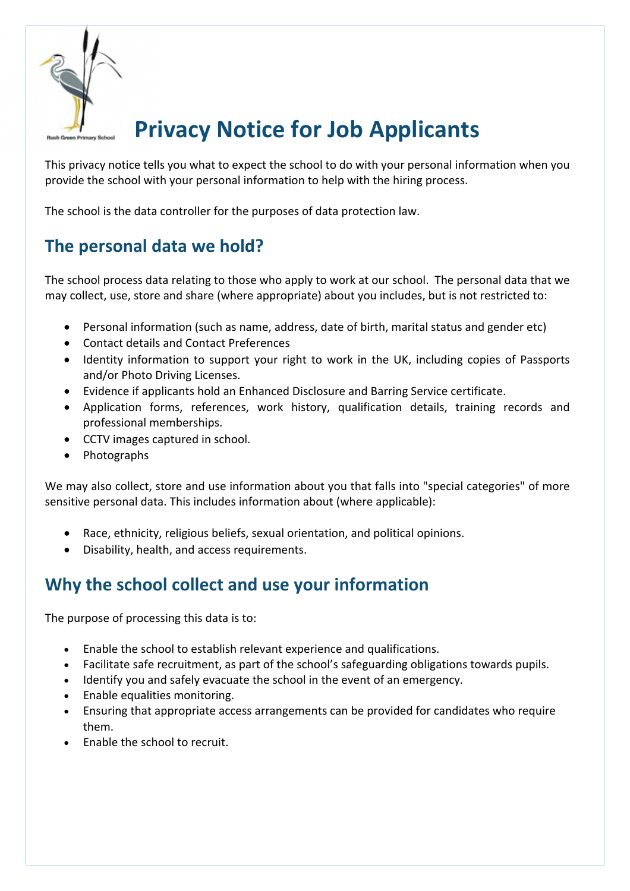

# **Privacy Notice for Job Applicants**

This privacy notice tells you what to expect the school to do with your personal information when you provide the school with your personal information to help with the hiring process.

The school is the data controller for the purposes of data protection law.

# **The personal data we hold?**

The school process data relating to those who apply to work at our school. The personal data that we may collect, use, store and share (where appropriate) about you includes, but is not restricted to:

- Personal information (such as name, address, date of birth, marital status and gender etc)
- Contact details and Contact Preferences
- Identity information to support your right to work in the UK, including copies of Passports and/or Photo Driving Licenses.
- Evidence if applicants hold an Enhanced Disclosure and Barring Service certificate.
- Application forms, references, work history, qualification details, training records and professional memberships.
- CCTV images captured in school.
- Photographs

We may also collect, store and use information about you that falls into "special categories" of more sensitive personal data. This includes information about (where applicable):

- Race, ethnicity, religious beliefs, sexual orientation, and political opinions.
- Disability, health, and access requirements.

# **Why the school collect and use your information**

The purpose of processing this data is to:

- Enable the school to establish relevant experience and qualifications.
- Facilitate safe recruitment, as part of the school's safeguarding obligations towards pupils.
- Identify you and safely evacuate the school in the event of an emergency.
- Enable equalities monitoring.
- Ensuring that appropriate access arrangements can be provided for candidates who require them.
- Enable the school to recruit.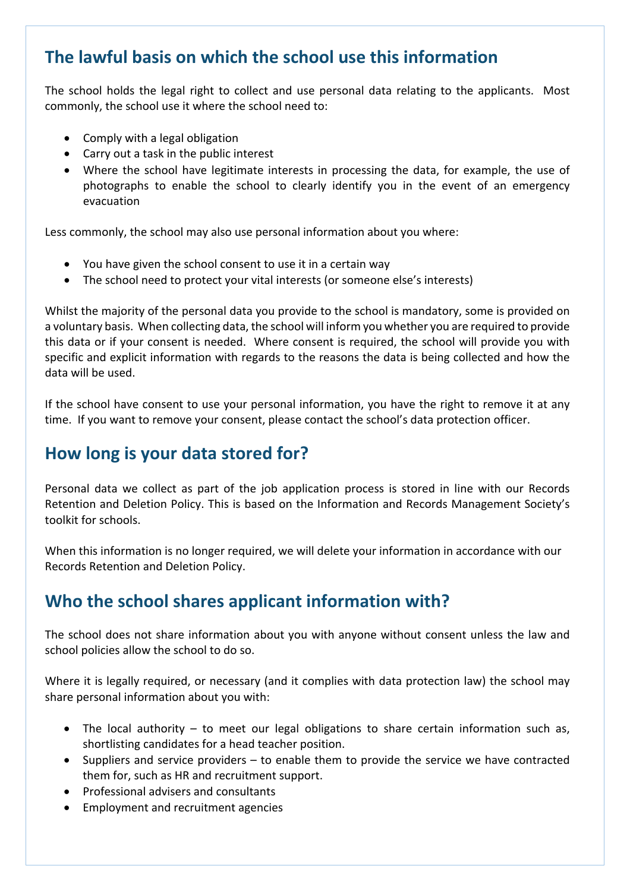### **The lawful basis on which the school use this information**

The school holds the legal right to collect and use personal data relating to the applicants. Most commonly, the school use it where the school need to:

- Comply with a legal obligation
- Carry out a task in the public interest
- Where the school have legitimate interests in processing the data, for example, the use of photographs to enable the school to clearly identify you in the event of an emergency evacuation

Less commonly, the school may also use personal information about you where:

- You have given the school consent to use it in a certain way
- The school need to protect your vital interests (or someone else's interests)

Whilst the majority of the personal data you provide to the school is mandatory, some is provided on a voluntary basis. When collecting data, the school will inform you whether you are required to provide this data or if your consent is needed. Where consent is required, the school will provide you with specific and explicit information with regards to the reasons the data is being collected and how the data will be used.

If the school have consent to use your personal information, you have the right to remove it at any time. If you want to remove your consent, please contact the school's data protection officer.

#### **How long is your data stored for?**

Personal data we collect as part of the job application process is stored in line with our Records Retention and Deletion Policy. This is based on the Information and Records Management Society's toolkit for schools.

When this information is no longer required, we will delete your information in accordance with our Records Retention and Deletion Policy.

#### **Who the school shares applicant information with?**

The school does not share information about you with anyone without consent unless the law and school policies allow the school to do so.

Where it is legally required, or necessary (and it complies with data protection law) the school may share personal information about you with:

- The local authority to meet our legal obligations to share certain information such as, shortlisting candidates for a head teacher position.
- Suppliers and service providers to enable them to provide the service we have contracted them for, such as HR and recruitment support.
- Professional advisers and consultants
- Employment and recruitment agencies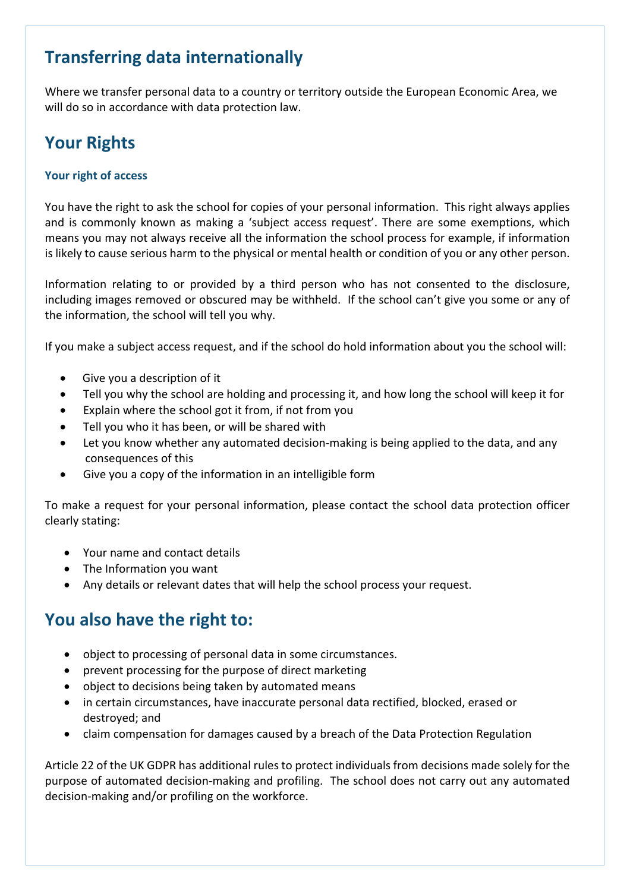# **Transferring data internationally**

Where we transfer personal data to a country or territory outside the European Economic Area, we will do so in accordance with data protection law.

# **Your Rights**

#### **Your right of access**

You have the right to ask the school for copies of your personal information. This right always applies and is commonly known as making a 'subject access request'. There are some exemptions, which means you may not always receive all the information the school process for example, if information is likely to cause serious harm to the physical or mental health or condition of you or any other person.

Information relating to or provided by a third person who has not consented to the disclosure, including images removed or obscured may be withheld. If the school can't give you some or any of the information, the school will tell you why.

If you make a subject access request, and if the school do hold information about you the school will:

- Give you a description of it
- Tell you why the school are holding and processing it, and how long the school will keep it for
- Explain where the school got it from, if not from you
- Tell you who it has been, or will be shared with
- Let you know whether any automated decision-making is being applied to the data, and any consequences of this
- Give you a copy of the information in an intelligible form

To make a request for your personal information, please contact the school data protection officer clearly stating:

- Your name and contact details
- The Information you want
- Any details or relevant dates that will help the school process your request.

#### **You also have the right to:**

- object to processing of personal data in some circumstances.
- prevent processing for the purpose of direct marketing
- object to decisions being taken by automated means
- in certain circumstances, have inaccurate personal data rectified, blocked, erased or destroyed; and
- claim compensation for damages caused by a breach of the Data Protection Regulation

Article 22 of the UK GDPR has additional rules to protect individuals from decisions made solely for the purpose of automated decision-making and profiling. The school does not carry out any automated decision-making and/or profiling on the workforce.